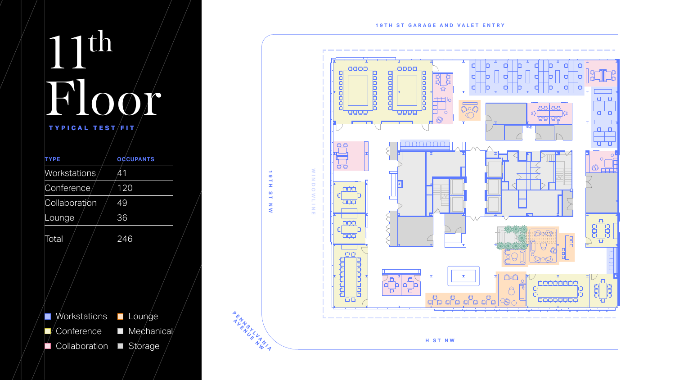## th Floor TYPICAL TEST/FIT,

| <b>TYPE</b>           | <b>OCCUPANTS</b> |
|-----------------------|------------------|
| Workstations          | 41               |
| Conference            | 120              |
| Collaboration         | 49               |
| Lounge                | 36               |
| Total                 | 246              |
|                       |                  |
| Workstations Lounge   |                  |
| Conference            | Mechanical<br>H  |
| Collaboration Storage |                  |

**19TH ST NW**

 $\boldsymbol{\omega}$ 

 $\rightarrow$ 

 $\frac{z}{\xi}$ 

19TH

 $\blacktriangle$  $\leftarrow$  $\boldsymbol{\psi}$  $\boldsymbol{\psi}$ 

**H ST NW**

 **SY**

**ALMORATING** 

 $\frac{2}{\pi}$ 

 $\frac{\gamma}{\gamma}$ 

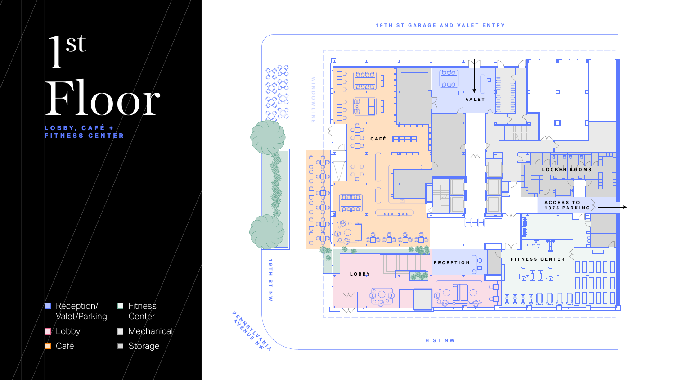## st Floor

**L O B B Y , C A F É + FITNESS CENTER**

**Reception/** Valet/Parking  $\blacktriangleright$  Lobby **Café** 

**Fitness** Center  $\blacksquare$  Mechanical/ Storage



**H ST NW**